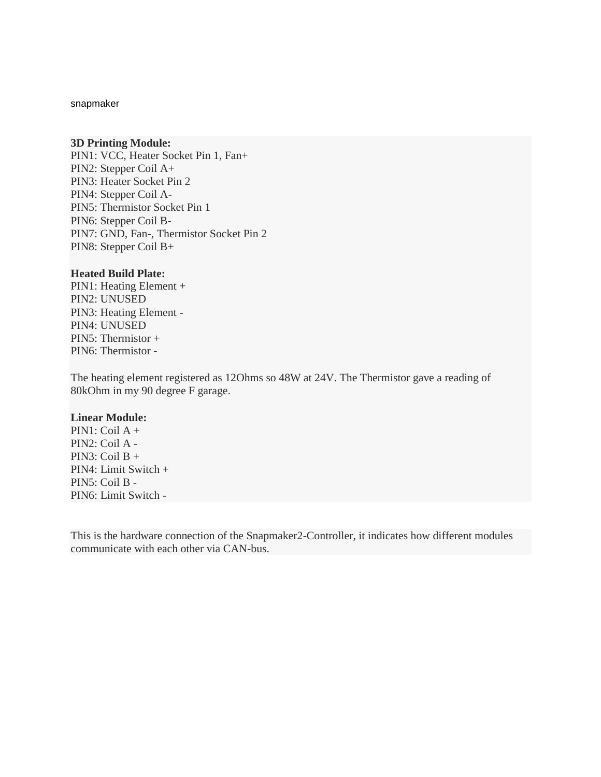snapmaker

#### **3D Printing Module:**

PIN1: VCC, Heater Socket Pin 1, Fan+ PIN2: Stepper Coil A+ PIN3: Heater Socket Pin 2 PIN4: Stepper Coil A-PIN5: Thermistor Socket Pin 1 PIN6: Stepper Coil B-PIN7: GND, Fan-, Thermistor Socket Pin 2 PIN8: Stepper Coil B+

#### **Heated Build Plate:**

PIN1: Heating Element + PIN2: UNUSED PIN3: Heating Element - PIN4: UNUSED PIN5: Thermistor + PIN6: Thermistor -

The heating element registered as 12Ohms so 48W at 24V. The Thermistor gave a reading of 80kOhm in my 90 degree F garage.

#### **Linear Module:**

 $PIN1:$  Coil  $A +$ PIN2: Coil A - PIN3: Coil B + PIN4: Limit Switch + PIN5: Coil B - PIN6: Limit Switch -

This is the hardware connection of the Snapmaker2-Controller, it indicates how different modules communicate with each other via CAN-bus.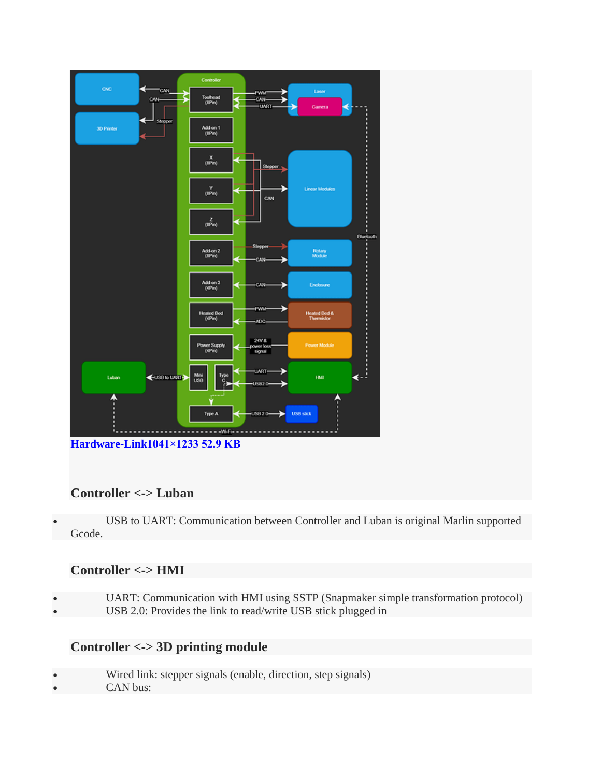

## **Controller <-> Luban**

 USB to UART: Communication between Controller and Luban is original Marlin supported Gcode.

## **Controller <-> HMI**

- UART: Communication with HMI using SSTP (Snapmaker simple transformation protocol)
- USB 2.0: Provides the link to read/write USB stick plugged in

## **Controller <-> 3D printing module**

- Wired link: stepper signals (enable, direction, step signals)
- CAN bus: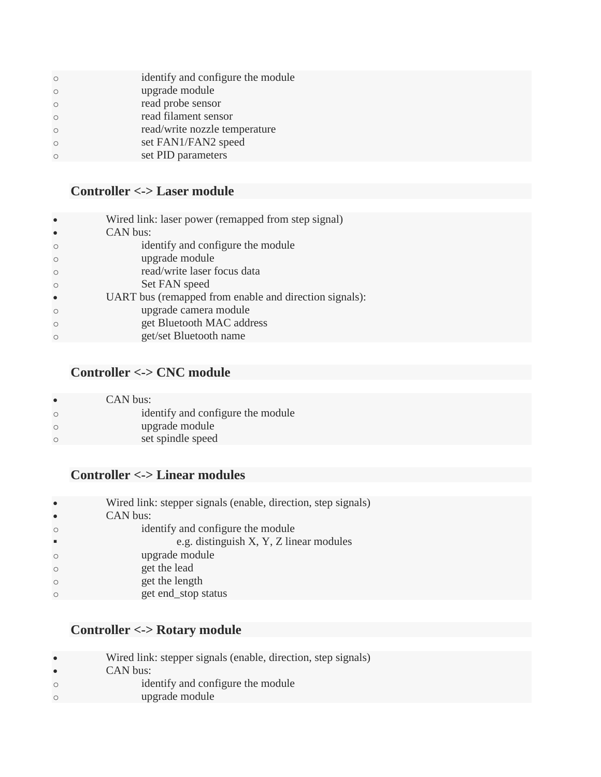| $\Omega$ | identify and configure the module |
|----------|-----------------------------------|
| $\Omega$ | upgrade module                    |
| $\Omega$ | read probe sensor                 |
| $\Omega$ | read filament sensor              |
| $\Omega$ | read/write nozzle temperature     |
| $\Omega$ | set FAN1/FAN2 speed               |
|          | set PID parameters                |
|          |                                   |

# **Controller <-> Laser module**

| $\bullet$ | Wired link: laser power (remapped from step signal)    |
|-----------|--------------------------------------------------------|
| $\bullet$ | CAN bus:                                               |
| $\Omega$  | identify and configure the module                      |
| $\circ$   | upgrade module                                         |
| $\Omega$  | read/write laser focus data                            |
| $\circ$   | Set FAN speed                                          |
| $\bullet$ | UART bus (remapped from enable and direction signals): |
| $\Omega$  | upgrade camera module                                  |
| $\Omega$  | get Bluetooth MAC address                              |
| $\Omega$  | get/set Bluetooth name                                 |

# **Controller <-> CNC module**

| $\bullet$ | CAN bus:                          |
|-----------|-----------------------------------|
| $\circ$   | identify and configure the module |
| $\circ$   | upgrade module                    |
| $\circ$   | set spindle speed                 |
|           |                                   |

# **Controller <-> Linear modules**

| $\bullet$ | Wired link: stepper signals (enable, direction, step signals) |
|-----------|---------------------------------------------------------------|
| $\bullet$ | CAN bus:                                                      |
| $\circ$   | identify and configure the module                             |
| ٠         | e.g. distinguish X, Y, Z linear modules                       |
| $\circ$   | upgrade module                                                |
| $\circ$   | get the lead                                                  |
| $\circ$   | get the length                                                |
| $\Omega$  | get end_stop status                                           |
|           |                                                               |

# **Controller <-> Rotary module**

| $\bullet$ | Wired link: stepper signals (enable, direction, step signals) |
|-----------|---------------------------------------------------------------|
| $\bullet$ | CAN bus:                                                      |
| $\circ$   | identify and configure the module                             |
| $\circ$   | upgrade module                                                |
|           |                                                               |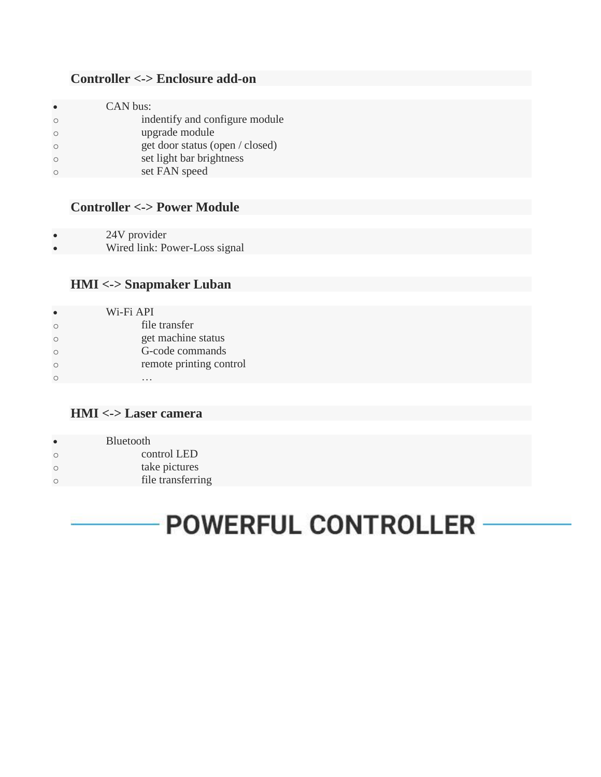# **Controller <-> Enclosure add-on**

| $\bullet$ | CAN bus:                        |
|-----------|---------------------------------|
| $\circ$   | indentify and configure module  |
| $\circ$   | upgrade module                  |
| $\circ$   | get door status (open / closed) |
| $\circ$   | set light bar brightness        |
| $\bigcap$ | set FAN speed                   |
|           |                                 |

# **Controller <-> Power Module**

24V provider

Wired link: Power-Loss signal

## **HMI <-> Snapmaker Luban**

| Wi-Fi API               |
|-------------------------|
| file transfer           |
| get machine status      |
| G-code commands         |
| remote printing control |
|                         |

#### **HMI <-> Laser camera**

| $\bullet$  | <b>Bluetooth</b>  |
|------------|-------------------|
| $\bigcirc$ | control LED       |
| $\bigcirc$ | take pictures     |
| $\bigcirc$ | file transferring |

# **POWERFUL CONTROLLER**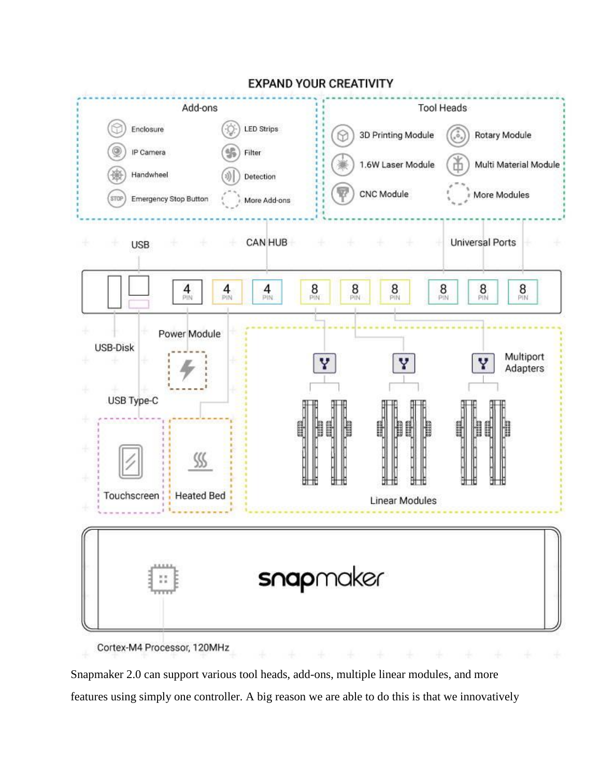

**EXPAND YOUR CREATIVITY** 

Cortex-M4 Processor, 120MHz

Snapmaker 2.0 can support various tool heads, add-ons, multiple linear modules, and more features using simply one controller. A big reason we are able to do this is that we innovatively